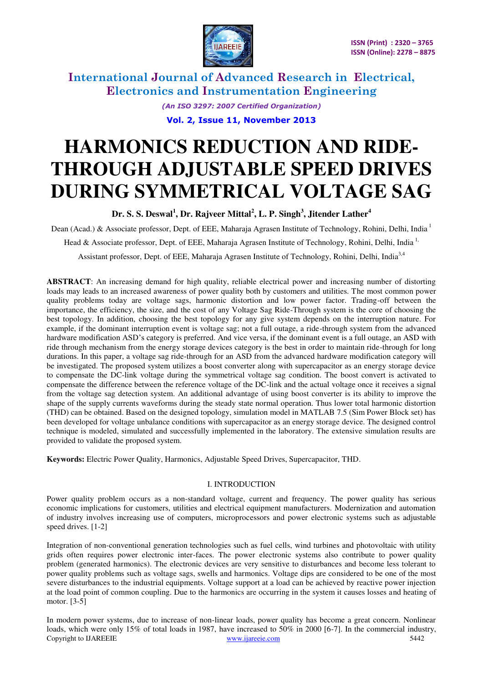

> *(An ISO 3297: 2007 Certified Organization)*  **Vol. 2, Issue 11, November 2013**

# **HARMONICS REDUCTION AND RIDE-THROUGH ADJUSTABLE SPEED DRIVES DURING SYMMETRICAL VOLTAGE SAG**

**Dr. S. S. Deswal<sup>1</sup> , Dr. Rajveer Mittal<sup>2</sup> , L. P. Singh<sup>3</sup> , Jitender Lather<sup>4</sup>**

Dean (Acad.) & Associate professor, Dept. of EEE, Maharaja Agrasen Institute of Technology, Rohini, Delhi, India<sup>1</sup>

Head & Associate professor, Dept. of EEE, Maharaja Agrasen Institute of Technology, Rohini, Delhi, India<sup>1,</sup>

Assistant professor, Dept. of EEE, Maharaja Agrasen Institute of Technology, Rohini, Delhi, India<sup>3,4</sup>

**ABSTRACT**: An increasing demand for high quality, reliable electrical power and increasing number of distorting loads may leads to an increased awareness of power quality both by customers and utilities. The most common power quality problems today are voltage sags, harmonic distortion and low power factor. Trading-off between the importance, the efficiency, the size, and the cost of any Voltage Sag Ride-Through system is the core of choosing the best topology. In addition, choosing the best topology for any give system depends on the interruption nature. For example, if the dominant interruption event is voltage sag; not a full outage, a ride-through system from the advanced hardware modification ASD's category is preferred. And vice versa, if the dominant event is a full outage, an ASD with ride through mechanism from the energy storage devices category is the best in order to maintain ride-through for long durations. In this paper, a voltage sag ride-through for an ASD from the advanced hardware modification category will be investigated. The proposed system utilizes a boost converter along with supercapacitor as an energy storage device to compensate the DC-link voltage during the symmetrical voltage sag condition. The boost convert is activated to compensate the difference between the reference voltage of the DC-link and the actual voltage once it receives a signal from the voltage sag detection system. An additional advantage of using boost converter is its ability to improve the shape of the supply currents waveforms during the steady state normal operation. Thus lower total harmonic distortion (THD) can be obtained. Based on the designed topology, simulation model in MATLAB 7.5 (Sim Power Block set) has been developed for voltage unbalance conditions with supercapacitor as an energy storage device. The designed control technique is modeled, simulated and successfully implemented in the laboratory. The extensive simulation results are provided to validate the proposed system.

**Keywords:** Electric Power Quality, Harmonics, Adjustable Speed Drives, Supercapacitor, THD.

### I. INTRODUCTION

Power quality problem occurs as a non-standard voltage, current and frequency. The power quality has serious economic implications for customers, utilities and electrical equipment manufacturers. Modernization and automation of industry involves increasing use of computers, microprocessors and power electronic systems such as adjustable speed drives. [1-2]

Integration of non-conventional generation technologies such as fuel cells, wind turbines and photovoltaic with utility grids often requires power electronic inter-faces. The power electronic systems also contribute to power quality problem (generated harmonics). The electronic devices are very sensitive to disturbances and become less tolerant to power quality problems such as voltage sags, swells and harmonics. Voltage dips are considered to be one of the most severe disturbances to the industrial equipments. Voltage support at a load can be achieved by reactive power injection at the load point of common coupling. Due to the harmonics are occurring in the system it causes losses and heating of motor. [3-5]

Copyright to IJAREEIE [www.ijareeie.com](http://www.ijareeie.com/) 5442 In modern power systems, due to increase of non-linear loads, power quality has become a great concern. Nonlinear loads, which were only 15% of total loads in 1987, have increased to 50% in 2000 [6-7]. In the commercial industry,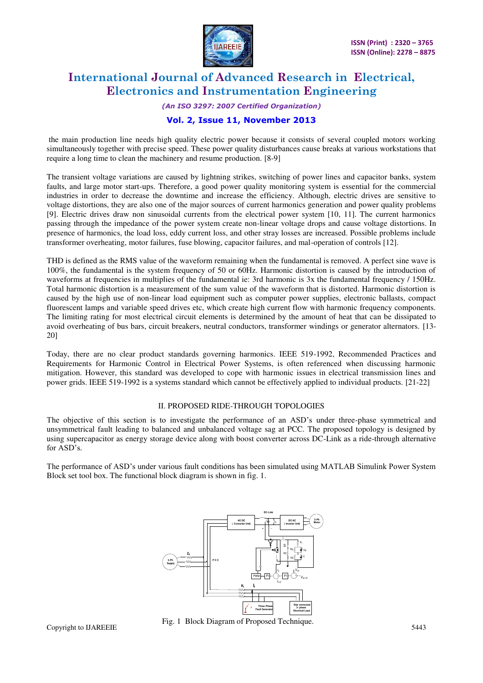

#### *(An ISO 3297: 2007 Certified Organization)*

### **Vol. 2, Issue 11, November 2013**

 the main production line needs high quality electric power because it consists of several coupled motors working simultaneously together with precise speed. These power quality disturbances cause breaks at various workstations that require a long time to clean the machinery and resume production. [8-9]

The transient voltage variations are caused by lightning strikes, switching of power lines and capacitor banks, system faults, and large motor start-ups. Therefore, a good power quality monitoring system is essential for the commercial industries in order to decrease the downtime and increase the efficiency. Although, electric drives are sensitive to voltage distortions, they are also one of the major sources of current harmonics generation and power quality problems [9]. Electric drives draw non sinusoidal currents from the electrical power system [10, 11]. The current harmonics passing through the impedance of the power system create non-linear voltage drops and cause voltage distortions. In presence of harmonics, the load loss, eddy current loss, and other stray losses are increased. Possible problems include transformer overheating, motor failures, fuse blowing, capacitor failures, and mal-operation of controls [12].

THD is defined as the RMS value of the waveform remaining when the fundamental is removed. A perfect sine wave is 100%, the fundamental is the system frequency of 50 or 60Hz. Harmonic distortion is caused by the introduction of waveforms at frequencies in multiplies of the fundamental ie: 3rd harmonic is 3x the fundamental frequency / 150Hz. Total harmonic distortion is a measurement of the sum value of the waveform that is distorted. Harmonic distortion is caused by the high use of non-linear load equipment such as computer power supplies, electronic ballasts, compact fluorescent lamps and variable speed drives etc, which create high current flow with harmonic frequency components. The limiting rating for most electrical circuit elements is determined by the amount of heat that can be dissipated to avoid overheating of bus bars, circuit breakers, neutral conductors, transformer windings or generator alternators. [13- 20]

Today, there are no clear product standards governing harmonics. IEEE 519-1992, Recommended Practices and Requirements for Harmonic Control in Electrical Power Systems, is often referenced when discussing harmonic mitigation. However, this standard was developed to cope with harmonic issues in electrical transmission lines and power grids. IEEE 519-1992 is a systems standard which cannot be effectively applied to individual products. [21-22]

#### II. PROPOSED RIDE-THROUGH TOPOLOGIES

The objective of this section is to investigate the performance of an ASD's under three-phase symmetrical and unsymmetrical fault leading to balanced and unbalanced voltage sag at PCC. The proposed topology is designed by using supercapacitor as energy storage device along with boost converter across DC-Link as a ride-through alternative for ASD's.

The performance of ASD's under various fault conditions has been simulated using MATLAB Simulink Power System Block set tool box. The functional block diagram is shown in fig. 1.

![](_page_1_Figure_12.jpeg)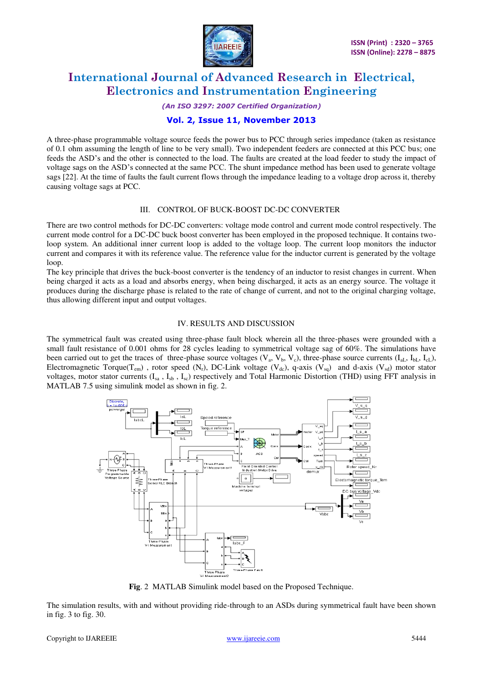![](_page_2_Picture_0.jpeg)

#### *(An ISO 3297: 2007 Certified Organization)*

### **Vol. 2, Issue 11, November 2013**

A three-phase programmable voltage source feeds the power bus to PCC through series impedance (taken as resistance of 0.1 ohm assuming the length of line to be very small). Two independent feeders are connected at this PCC bus; one feeds the ASD's and the other is connected to the load. The faults are created at the load feeder to study the impact of voltage sags on the ASD's connected at the same PCC. The shunt impedance method has been used to generate voltage sags [22]. At the time of faults the fault current flows through the impedance leading to a voltage drop across it, thereby causing voltage sags at PCC.

#### III. CONTROL OF BUCK-BOOST DC-DC CONVERTER

There are two control methods for DC-DC converters: voltage mode control and current mode control respectively. The current mode control for a DC-DC buck boost converter has been employed in the proposed technique. It contains twoloop system. An additional inner current loop is added to the voltage loop. The current loop monitors the inductor current and compares it with its reference value. The reference value for the inductor current is generated by the voltage loop.

The key principle that drives the buck-boost converter is the tendency of an inductor to resist changes in current. When being charged it acts as a load and absorbs energy, when being discharged, it acts as an energy source. The voltage it produces during the discharge phase is related to the rate of change of current, and not to the original charging voltage, thus allowing different input and output voltages.

#### IV. RESULTS AND DISCUSSION

The symmetrical fault was created using three-phase fault block wherein all the three-phases were grounded with a small fault resistance of 0.001 ohms for 28 cycles leading to symmetrical voltage sag of 60%. The simulations have been carried out to get the traces of three-phase source voltages  $(V_a, V_b, V_c)$ , three-phase source currents  $(I_{aL}, I_{bL}, I_{cL})$ , Electromagnetic Torque(T<sub>em</sub>), rotor speed (N<sub>r</sub>), DC-Link voltage (V<sub>dc</sub>), q-axis (V<sub>sq</sub>) and d-axis (V<sub>sd</sub>) motor stator voltages, motor stator currents  $(I_{sa}$ ,  $I_{sb}$ ,  $I_{sc}$ ) respectively and Total Harmonic Distortion (THD) using FFT analysis in MATLAB 7.5 using simulink model as shown in fig. 2.

![](_page_2_Figure_11.jpeg)

**Fig**. 2 MATLAB Simulink model based on the Proposed Technique.

The simulation results, with and without providing ride-through to an ASDs during symmetrical fault have been shown in fig. 3 to fig. 30.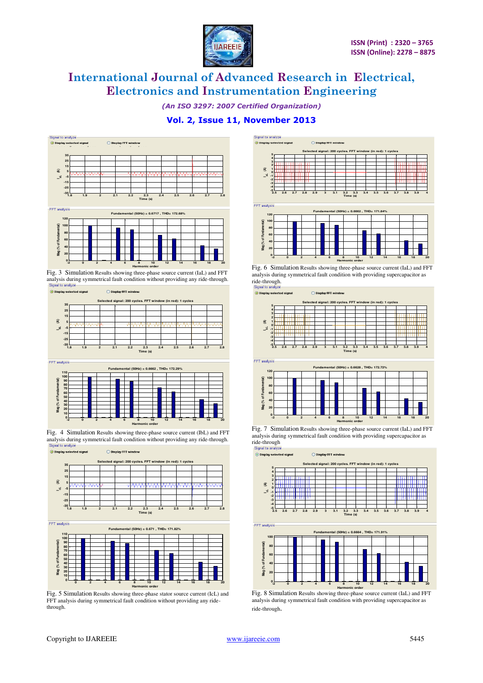![](_page_3_Picture_0.jpeg)

*(An ISO 3297: 2007 Certified Organization)* 

### **Vol. 2, Issue 11, November 2013**

![](_page_3_Figure_5.jpeg)

Fig. 3 Simulation Results showing three-phase source current (IaL) and FFT analysis during symmetrical fault condition without providing any ride-through. Signal to analyze

![](_page_3_Figure_7.jpeg)

![](_page_3_Figure_8.jpeg)

Fig. 4 Simulation Results showing three-phase source current (IbL) and FFT analysis during symmetrical fault condition without providing any ride-through.<br>Signal to analyze ignal Display selected signal ◯ Display FFT windo

![](_page_3_Figure_10.jpeg)

FFT analysis

![](_page_3_Figure_12.jpeg)

Fig. 5 Simulation Results showing three-phase stator source current (IcL) and FFT analysis during symmetrical fault condition without providing any ridethrough.

![](_page_3_Figure_14.jpeg)

Fig. 6 Simulation Results showing three-phase source current (IaL) and FFT analysis during symmetrical fault condition with providing supercapacitor as ride-through.<br>Signal to analyze

O Display FFT window

a<br>Display selected si

![](_page_3_Figure_17.jpeg)

Fig. 7 Simulation Results showing three-phase source current (IaL) and FFT analysis during symmetrical fault condition with providing supercapacitor as ride-through<br>Signal to analyze

![](_page_3_Figure_19.jpeg)

Fig. 8 Simulation Results showing three-phase source current (IaL) and FFT analysis during symmetrical fault condition with providing supercapacitor as ride-through.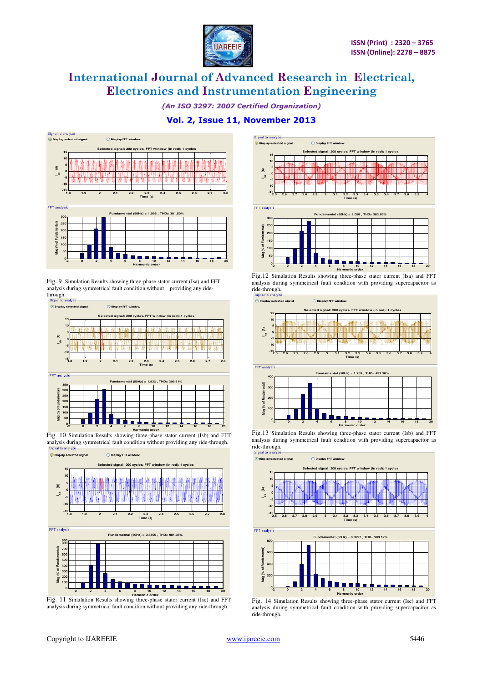![](_page_4_Picture_0.jpeg)

*(An ISO 3297: 2007 Certified Organization)* 

## **Vol. 2, Issue 11, November 2013**

![](_page_4_Figure_5.jpeg)

Fig. 9 Simulation Results showing three-phase stator current (Isa) and FFT analysis during symmetrical fault condition without providing any ridethrough.<br>Signal to analyze

![](_page_4_Figure_8.jpeg)

**Harmonic order**<br>Fig. 10 Simulation Results showing three-phase stator current (Isb) and FFT analysis during symmetrical fault condition without providing any ride-through. Signal to analyze ◯ Display FFT windo

![](_page_4_Figure_10.jpeg)

Fig. 11 Simulation Results showing three-phase stator current (Isc) and FFT analysis during symmetrical fault condition without providing any ride-through.

![](_page_4_Figure_12.jpeg)

**Fig.12** Simulation Results showing three-phase stator current (Isa) and FFT analysis during symmetrical fault condition with providing supercapacitor as ride-through.

 $\overline{\odot}$  Display selected O Display FFT window

> **0 100**

![](_page_4_Figure_15.jpeg)

Fig.13 Simulation Results showing three-phase stator current (Isb) and FFT analysis during symmetrical fault condition with providing supercapacitor as ride-through.

**-2 0 2 4 6 8 10 12 14 16 18 20**

**Harmonic order**

![](_page_4_Figure_17.jpeg)

Fig. 14 Simulation Results showing three-phase stator current (Isc) and FFT analysis during symmetrical fault condition with providing supercapacitor as ride-through.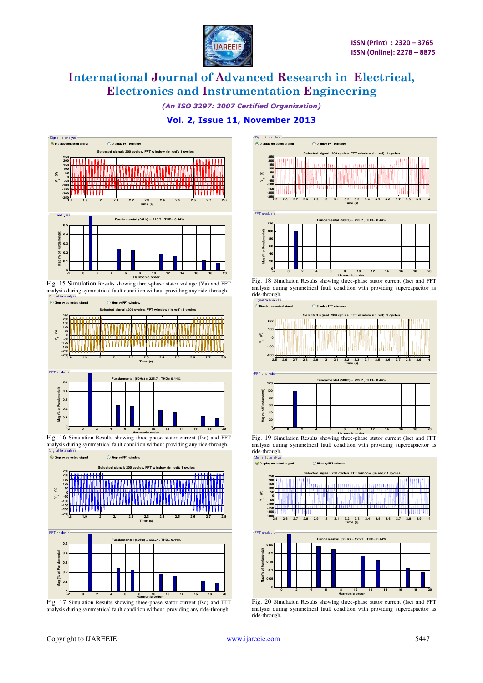![](_page_5_Picture_0.jpeg)

*(An ISO 3297: 2007 Certified Organization)* 

### **Vol. 2, Issue 11, November 2013**

![](_page_5_Figure_5.jpeg)

Fig. 15 Simulation Results showing three-phase stator voltage (Va) and FFT analysis during symmetrical fault condition without providing any ride-through.<br>Signal to analyze

![](_page_5_Figure_7.jpeg)

![](_page_5_Figure_8.jpeg)

**Harmonic order**<br>Fig. 16 Simulation Results showing three-phase stator current (Isc) and FFT analysis during symmetrical fault condition without providing any ride-through.<br>Signal to analyze

![](_page_5_Figure_10.jpeg)

Fig. 17 Simulation Results showing three-phase stator current (Isc) and FFT analysis during symmetrical fault condition without providing any ride-through.

![](_page_5_Figure_12.jpeg)

**Harmonic order**<br>Fig. 18 Simulation Results showing three-phase stator current (Isc) and FFT analysis during symmetrical fault condition with providing supercapacitor as ride-through.<br>Signal to analyze

⊙ Display selected signa

![](_page_5_Figure_15.jpeg)

![](_page_5_Figure_16.jpeg)

Fig. 19 Simulation Results showing three-phase stator current (Isc) and FFT **Harmonic order** analysis during symmetrical fault condition with providing supercapacitor as ride-through.<br>Signal to analyze

O Display selected si

![](_page_5_Figure_19.jpeg)

Fig. 20 Simulation Results showing three-phase stator current (Isc) and FFT analysis during symmetrical fault condition with providing supercapacitor as ride-through.

**0 2 4 6 8 10 12 14 16 18 20**

**Harmonic order**

**0**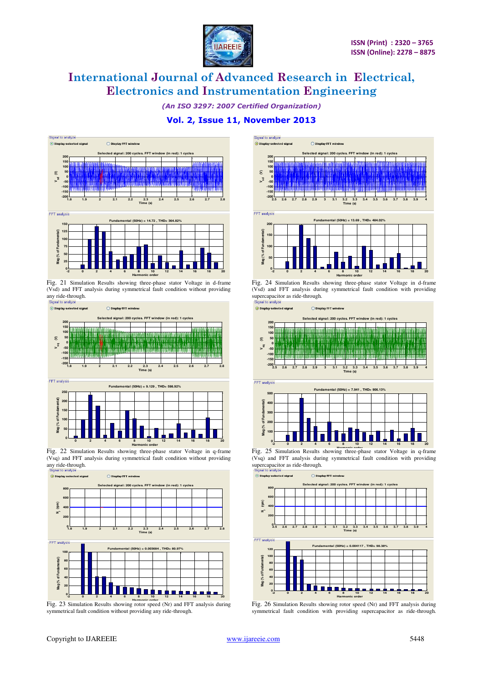![](_page_6_Picture_0.jpeg)

*(An ISO 3297: 2007 Certified Organization)* 

### **Vol. 2, Issue 11, November 2013**

![](_page_6_Figure_5.jpeg)

Fig. 21 Simulation Results showing three-phase stator Voltage in d-frame (Vsd) and FFT analysis during symmetrical fault condition without providing any ride-through.

![](_page_6_Figure_7.jpeg)

![](_page_6_Figure_8.jpeg)

Fig. 22 Simulation Results showing three-phase stator Voltage in q-frame (Vsq) and FFT analysis during symmetrical fault condition without providing any ride-through.

![](_page_6_Figure_10.jpeg)

Fig. 23 Simulation Results showing rotor speed (Nr) and FFT analysis during symmetrical fault condition without providing any ride-through.

![](_page_6_Figure_12.jpeg)

Fig. 24 Simulation Results showing three-phase stator Voltage in d-frame (Vsd) and FFT analysis during symmetrical fault condition with providing supercapacitor as ride-through.

 $\odot$  Display selected sig ◯ Display FFT window

![](_page_6_Figure_15.jpeg)

Fig. 25 Simulation Results showing three-phase stator Voltage in q-frame (Vsq) and FFT analysis during symmetrical fault condition with providing supercapacitor as ride-through.<br>
Signal to analyze<br>  $\odot$  Display selected signal

![](_page_6_Figure_18.jpeg)

![](_page_6_Figure_19.jpeg)

Fig. 26 Simulation Results showing rotor speed (Nr) and FFT analysis during symmetrical fault condition with providing supercapacitor as ride-through.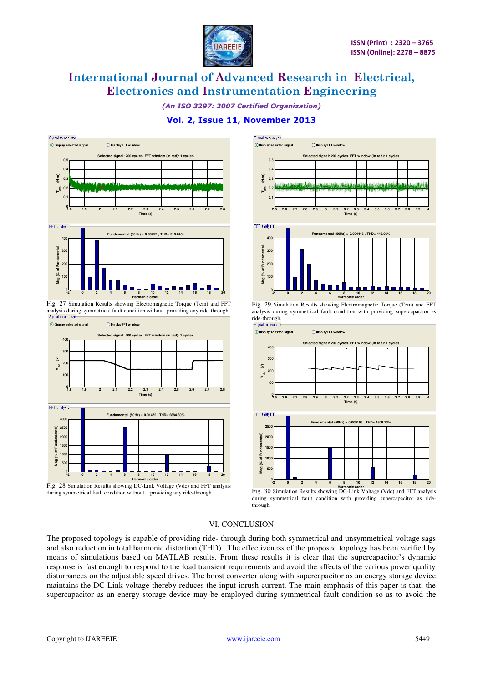![](_page_7_Picture_0.jpeg)

*(An ISO 3297: 2007 Certified Organization)* 

### **Vol. 2, Issue 11, November 2013**

![](_page_7_Figure_5.jpeg)

Fig. 27 Simulation Results showing Electromagnetic Torque (Tem) and FFT analysis during symmetrical fault condition without providing any ride-through.

![](_page_7_Figure_7.jpeg)

Fig. 28 Simulation Results showing DC-Link Voltage (Vdc) and FFT analysis during symmetrical fault condition without providing any ride-through.

![](_page_7_Figure_9.jpeg)

Fig. 29 Simulation Results showing Electromagnetic Torque (Tem) and FFT analysis during symmetrical fault condition with providing supercapacitor as ride-through.

![](_page_7_Figure_11.jpeg)

![](_page_7_Figure_12.jpeg)

Fig. 30 Simulation Results showing DC-Link Voltage (Vdc) and FFT analysis **Harmonic order** during symmetrical fault condition with providing supercapacitor as ridethrough.

#### VI. CONCLUSION

The proposed topology is capable of providing ride- through during both symmetrical and unsymmetrical voltage sags and also reduction in total harmonic distortion (THD) . The effectiveness of the proposed topology has been verified by means of simulations based on MATLAB results. From these results it is clear that the supercapacitor's dynamic response is fast enough to respond to the load transient requirements and avoid the affects of the various power quality disturbances on the adjustable speed drives. The boost converter along with supercapacitor as an energy storage device maintains the DC-Link voltage thereby reduces the input inrush current. The main emphasis of this paper is that, the supercapacitor as an energy storage device may be employed during symmetrical fault condition so as to avoid the